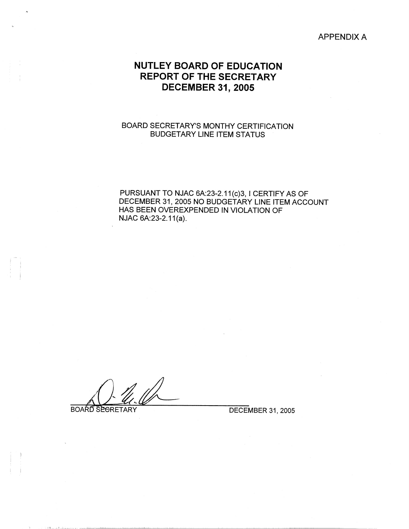#### APPENDIX A

# **NUTLEY BOARD OF EDUCATION REPORT OF THE SECRETARY DECEMBER 31, 2005**

### BOARD SECRETARY'S MONTHY CERTIFICATION BUDGETARY LINE ITEM STATUS

PURSUANT TO NJAC 6A:23-2.11(c)3, I CERTIFY AS OF DECEMBER 31, 2005 NO BUDGETARY LINE ITEM ACCOUNT HAS BEEN OVEREXPENDED IN VIOLATION OF NJAC 6A:23-2.11(a).

**Quel Contract SECTARY** DECEMBER 31, 2005

ومستحدث والمستنقصة مربا أحفت ممتعل الناد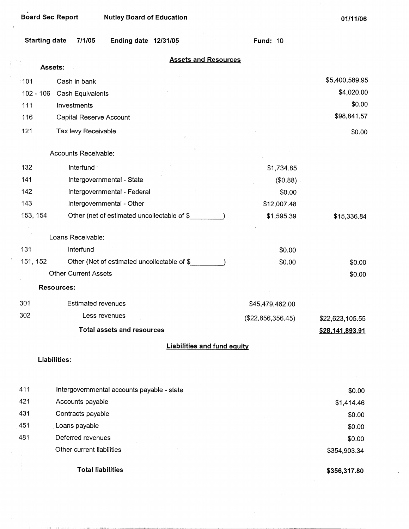| <b>Board Sec Report</b> | <b>Nutley Board of Education</b>            |                   | 01/11/06        |
|-------------------------|---------------------------------------------|-------------------|-----------------|
| <b>Starting date</b>    | 7/1/05<br><b>Ending date 12/31/05</b>       | <b>Fund: 10</b>   |                 |
| Assets:                 | <b>Assets and Resources</b>                 |                   |                 |
|                         |                                             |                   | \$5,400,589.95  |
| 101                     | Cash in bank                                |                   | \$4,020.00      |
| $102 - 106$<br>111      | Cash Equivalents<br>Investments             |                   | \$0.00          |
| 116                     | Capital Reserve Account                     |                   | \$98,841.57     |
|                         |                                             |                   |                 |
| 121                     | Tax levy Receivable                         |                   | \$0.00          |
|                         | Accounts Receivable:                        |                   |                 |
| 132                     | Interfund -                                 | \$1,734.85        |                 |
| 141                     | Intergovernmental - State                   | (\$0.88)          |                 |
| 142                     | Intergovernmental - Federal                 | \$0.00            |                 |
| 143                     | Intergovernmental - Other                   | \$12,007.48       |                 |
| 153, 154                | Other (net of estimated uncollectable of \$ | \$1,595.39        | \$15,336.84     |
|                         |                                             |                   |                 |
|                         | Loans Receivable:                           |                   |                 |
| 131                     | Interfund                                   | \$0.00            |                 |
| 151, 152                | Other (Net of estimated uncollectable of \$ | \$0.00            | \$0.00          |
|                         | <b>Other Current Assets</b>                 |                   | \$0.00          |
|                         | <b>Resources:</b>                           |                   |                 |
| 301                     | <b>Estimated revenues</b>                   | \$45,479,462.00   |                 |
| 302                     | Less revenues                               | (\$22,856,356.45) | \$22,623,105.55 |
|                         | <b>Total assets and resources</b>           |                   | \$28,141,893.91 |
|                         | <b>Liabilities and fund equity</b>          |                   |                 |
|                         | Liabilities:                                |                   |                 |
|                         |                                             |                   |                 |
| 411                     | Intergovernmental accounts payable - state  |                   | \$0.00          |
| 421                     | Accounts payable                            |                   | \$1,414.46      |
| 431                     | Contracts payable                           |                   | \$0.00          |
| 451                     | Loans payable                               |                   | \$0.00          |
| 481                     | Deferred revenues                           |                   | \$0.00          |

 $\bar{z}$ 

Other current liabilities

of the first contract complete the companies of companies

 $\ddot{\phantom{0}}$ 

 $\langle \rangle$  $\sim$ 

 $\frac{1}{2}$ 

 $\begin{array}{c} \frac{1}{2} & \frac{1}{2} \\ \frac{1}{2} & \frac{1}{2} \\ \frac{1}{2} & \frac{1}{2} \end{array}$ 

 $\sim 4-10$ 

**Total liabilities** 

**\$356,317.80** 

 $\ddot{\phantom{a}}$ 

\$354,903.34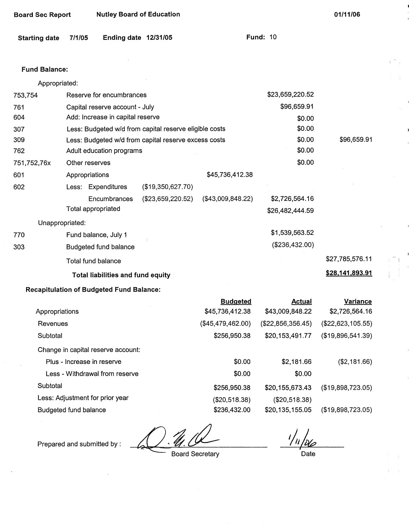| <b>Board Sec Report</b> | <b>Nutley Board of Education</b> |
|-------------------------|----------------------------------|
|-------------------------|----------------------------------|

**01/11/06** 

**Fund: 10** 

| Starting date 7/1/05 |  | Ending date 12/31/05 |  |  |
|----------------------|--|----------------------|--|--|
|----------------------|--|----------------------|--|--|

#### **Fund Balance:**

| Appropriated: |                                                        |                   |                   |                 |                 |
|---------------|--------------------------------------------------------|-------------------|-------------------|-----------------|-----------------|
| 753,754       | Reserve for encumbrances                               |                   |                   | \$23,659,220.52 |                 |
| 761           | Capital reserve account - July                         |                   |                   | \$96,659.91     |                 |
| 604           | Add: Increase in capital reserve                       |                   |                   | \$0.00          |                 |
| 307           | Less: Budgeted w/d from capital reserve eligible costs |                   |                   | \$0.00          |                 |
| 309           | Less: Budgeted w/d from capital reserve excess costs   |                   |                   | \$0.00          | \$96,659.91     |
| 762           | Adult education programs                               |                   |                   | \$0.00          |                 |
| 751,752,76x   | Other reserves                                         |                   |                   | \$0.00          |                 |
| 601           | Appropriations                                         |                   | \$45,736,412.38   |                 |                 |
| 602           | Less: Expenditures                                     | (\$19,350,627.70) |                   |                 |                 |
|               | Encumbrances                                           | (\$23,659,220.52) | (\$43,009,848.22) | \$2,726,564.16  |                 |
|               | Total appropriated                                     |                   |                   | \$26,482,444.59 |                 |
|               | Unappropriated:                                        |                   |                   |                 |                 |
| 770           | Fund balance, July 1                                   |                   |                   | \$1,539,563.52  |                 |
| 303           | Budgeted fund balance                                  |                   |                   | (\$236,432.00)  |                 |
|               | Total fund balance                                     |                   |                   |                 | \$27,785,576.11 |
|               | <b>Total liabilities and fund equity</b>               |                   |                   |                 | \$28,141,893.91 |
|               |                                                        |                   |                   |                 |                 |

## **Recapitulation of Budgeted Fund Balance:**

|                                    | <b>Budgeted</b>   | Actual            | Variance            |
|------------------------------------|-------------------|-------------------|---------------------|
| Appropriations                     | \$45,736,412.38   | \$43,009,848.22   | \$2,726,564.16      |
| Revenues                           | (\$45,479,462.00) | (\$22,856,356.45) | $(\$22,623,105.55)$ |
| Subtotal                           | \$256,950.38      | \$20,153,491.77   | (\$19,896,541.39)   |
| Change in capital reserve account: |                   |                   |                     |
| Plus - Increase in reserve         | \$0.00            | \$2,181.66        | (\$2,181.66)        |
| Less - Withdrawal from reserve     | \$0.00            | \$0.00            |                     |
| Subtotal                           | \$256,950.38      | \$20,155,673.43   | (\$19,898,723.05)   |
| Less: Adjustment for prior year    | (\$20,518.38)     | (\$20,518.38)     |                     |
| Budgeted fund balance              | \$236,432.00      | \$20,135,155.05   | (\$19,898,723.05)   |

Prepared and submitted by :

 $1/11/106$ 

Board Secretary

**D**ate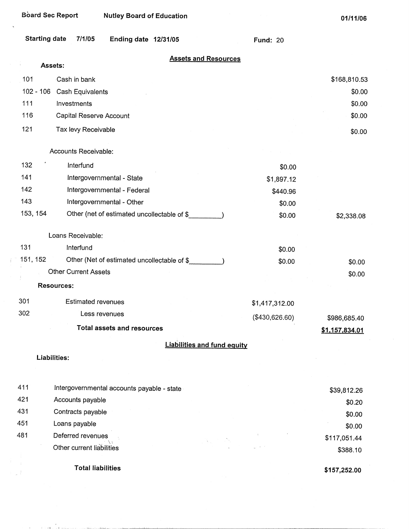|          | <b>Board Sec Report</b><br><b>Nutley Board of Education</b> |                 | 01/11/06         |
|----------|-------------------------------------------------------------|-----------------|------------------|
|          | <b>Starting date</b><br>7/1/05<br>Ending date 12/31/05      | <b>Fund: 20</b> |                  |
|          | <b>Assets and Resources</b><br>Assets:                      |                 |                  |
|          |                                                             |                 |                  |
| 101      | Cash in bank<br>$102 - 106$                                 |                 | \$168,810.53     |
| 111      | Cash Equivalents<br>Investments                             |                 | \$0.00<br>\$0.00 |
| 116      |                                                             |                 | \$0.00           |
|          | Capital Reserve Account                                     |                 |                  |
| 121      | Tax levy Receivable                                         |                 | \$0.00           |
|          | Accounts Receivable:                                        |                 |                  |
| 132      | Interfund                                                   | \$0.00          |                  |
| 141      | Intergovernmental - State                                   | \$1,897.12      |                  |
| 142      | Intergovernmental - Federal                                 | \$440.96        |                  |
| 143      | Intergovernmental - Other                                   | \$0.00          |                  |
| 153, 154 | Other (net of estimated uncollectable of \$                 | \$0.00          | \$2,338.08       |
|          |                                                             |                 |                  |
|          | Loans Receivable:                                           |                 |                  |
| 131      | Interfund                                                   | \$0.00          |                  |
| 151, 152 | Other (Net of estimated uncollectable of \$                 | \$0.00          | \$0.00           |
|          | <b>Other Current Assets</b>                                 |                 | \$0.00           |
|          | <b>Resources:</b>                                           |                 |                  |
| 301      | Estimated revenues                                          |                 |                  |
| 302      | Less revenues                                               | \$1,417,312.00  |                  |
|          |                                                             | (\$430,626.60)  | \$986,685.40     |
|          | <b>Total assets and resources</b>                           |                 | \$1,157,834.01   |
|          | <b>Liabilities and fund equity</b>                          |                 |                  |
|          | Liabilities:                                                |                 |                  |
|          |                                                             |                 |                  |
| 411      | Intergovernmental accounts payable - state                  |                 | \$39,812.26      |
| 421      | Accounts payable                                            |                 | \$0.20           |
| 431      | Contracts payable                                           |                 | \$0.00           |
| 451      | Loans payable                                               |                 | \$0.00           |
| 481      | Deferred revenues                                           |                 | \$117,051.44     |
|          | Other current lighilities                                   |                 |                  |

Other current liabilities

n 1986.<br>1986 - John Holling, fransk skriuwski filozof, filozof, filozof, filozof, filozof, filozof, filozof, filozof,

Ť

 $\omega$  ).

**Total liabilities** 

**\$157,252.00** 

\$388.10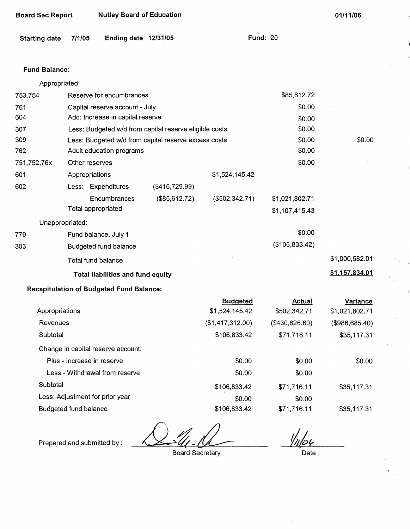| <b>Board Sec Report</b> |                            | <b>Nutley Board of Education</b>                |                                                        |                  |                                  | 01/11/06       |
|-------------------------|----------------------------|-------------------------------------------------|--------------------------------------------------------|------------------|----------------------------------|----------------|
| <b>Starting date</b>    | 7/1/05                     | Ending date 12/31/05                            |                                                        |                  | <b>Fund: 20</b>                  |                |
| <b>Fund Balance:</b>    |                            |                                                 |                                                        |                  |                                  |                |
| Appropriated:           |                            |                                                 |                                                        |                  |                                  |                |
| 753,754                 |                            | Reserve for encumbrances                        |                                                        |                  | \$85,612.72                      |                |
| 761                     |                            | Capital reserve account - July                  |                                                        |                  | \$0.00                           |                |
| 604                     |                            | Add: Increase in capital reserve                |                                                        |                  | \$0.00                           |                |
| 307                     |                            |                                                 | Less: Budgeted w/d from capital reserve eligible costs |                  | \$0.00                           |                |
| 309                     |                            |                                                 | Less: Budgeted w/d from capital reserve excess costs   |                  | \$0.00                           | \$0.00         |
| 762                     |                            | Adult education programs                        |                                                        |                  | \$0.00                           |                |
| 751,752,76x             | Other reserves             |                                                 |                                                        |                  | \$0.00                           |                |
| 601                     | Appropriations             |                                                 |                                                        | \$1,524,145.42   |                                  |                |
| 602                     |                            | Less: Expenditures                              | (\$416,729.99)                                         |                  |                                  |                |
|                         | Total appropriated         | Encumbrances                                    | (\$85,612.72)                                          | (\$502,342.71)   | \$1,021,802.71<br>\$1,107,415.43 |                |
| Unappropriated:         |                            |                                                 |                                                        |                  |                                  |                |
| 770                     |                            | Fund balance, July 1                            |                                                        |                  | \$0.00                           |                |
| 303                     |                            | Budgeted fund balance                           |                                                        |                  | (\$106,833.42)                   |                |
|                         | Total fund balance         |                                                 |                                                        |                  |                                  | \$1,000,582.01 |
|                         |                            | Total liabilities and fund equity               |                                                        |                  |                                  | \$1,157,834.01 |
|                         |                            | <b>Recapitulation of Budgeted Fund Balance:</b> |                                                        |                  |                                  |                |
|                         |                            |                                                 |                                                        | <b>Budgeted</b>  | <b>Actual</b>                    | Variance       |
| Appropriations          |                            |                                                 |                                                        | \$1,524,145.42   | \$502,342.71                     | \$1,021,802.71 |
| Revenues                |                            |                                                 |                                                        | (\$1,417,312.00) | (\$430,626.60)                   | (\$986,685.40) |
| Subtotal                |                            |                                                 |                                                        | \$106,833.42     | \$71,716.11                      | \$35,117.31    |
|                         |                            | Change in capital reserve account:              |                                                        |                  |                                  |                |
|                         | Plus - Increase in reserve |                                                 |                                                        | \$0.00           | \$0.00                           | \$0.00         |
|                         |                            | Less - Withdrawal from reserve                  |                                                        | \$0.00           | \$0.00                           |                |

Subtotal \$106,833.42

Less: Adjustment for prior year \$0.00

Budgeted fund balance \$106,833.42

Prepared and submitted by:

Board Secretary

*t//o(,* 

\$71,716.11

\$71,716.11

\$0.00

\$35,117.31

\$35,117.31

Date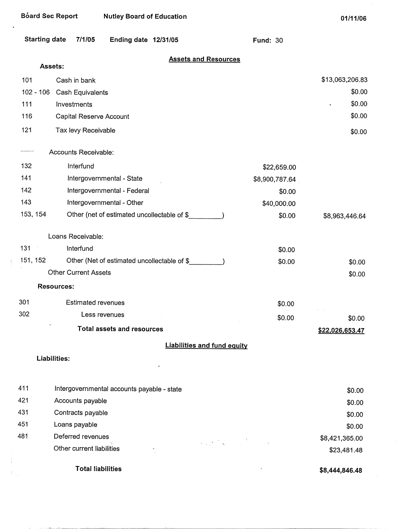| <b>Board Sec Report</b> | <b>Nutley Board of Education</b>                                                                                                                                                                                                                    |                 | 01/11/06                  |
|-------------------------|-----------------------------------------------------------------------------------------------------------------------------------------------------------------------------------------------------------------------------------------------------|-----------------|---------------------------|
| <b>Starting date</b>    | 7/1/05<br>Ending date 12/31/05                                                                                                                                                                                                                      | <b>Fund: 30</b> |                           |
| Assets:                 | <b>Assets and Resources</b>                                                                                                                                                                                                                         |                 |                           |
|                         |                                                                                                                                                                                                                                                     |                 |                           |
| 101                     | Cash in bank                                                                                                                                                                                                                                        |                 | \$13,063,206.83<br>\$0.00 |
| $102 - 106$<br>111      | Cash Equivalents<br>Investments                                                                                                                                                                                                                     |                 | \$0.00                    |
|                         |                                                                                                                                                                                                                                                     |                 | \$0.00                    |
| 116                     | Capital Reserve Account                                                                                                                                                                                                                             |                 |                           |
| 121                     | Tax levy Receivable                                                                                                                                                                                                                                 |                 | \$0.00                    |
|                         | Accounts Receivable:                                                                                                                                                                                                                                |                 |                           |
| 132                     | Interfund                                                                                                                                                                                                                                           | \$22,659.00     |                           |
| 141                     | Intergovernmental - State                                                                                                                                                                                                                           | \$8,900,787.64  |                           |
| 142                     | Intergovernmental - Federal                                                                                                                                                                                                                         | \$0.00          |                           |
| 143                     | Intergovernmental - Other                                                                                                                                                                                                                           | \$40,000.00     |                           |
| 153, 154                | Other (net of estimated uncollectable of \$                                                                                                                                                                                                         | \$0.00          | \$8,963,446.64            |
|                         | Loans Receivable:                                                                                                                                                                                                                                   |                 |                           |
| 131                     | Interfund                                                                                                                                                                                                                                           | \$0.00          |                           |
| 151, 152                | Other (Net of estimated uncollectable of \$                                                                                                                                                                                                         | \$0.00          | \$0.00                    |
|                         | <b>Other Current Assets</b>                                                                                                                                                                                                                         |                 | \$0.00                    |
|                         | <b>Resources:</b>                                                                                                                                                                                                                                   |                 |                           |
| 301                     | <b>Estimated revenues</b>                                                                                                                                                                                                                           | \$0.00          |                           |
| 302                     | Less revenues                                                                                                                                                                                                                                       | \$0.00          | \$0.00                    |
|                         | <b>Total assets and resources</b>                                                                                                                                                                                                                   |                 | \$22,026,653.47           |
|                         | <b>Liabilities and fund equity</b>                                                                                                                                                                                                                  |                 |                           |
| Liabilities:            |                                                                                                                                                                                                                                                     |                 |                           |
|                         |                                                                                                                                                                                                                                                     |                 |                           |
| 411                     | Intergovernmental accounts payable - state                                                                                                                                                                                                          |                 | \$0.00                    |
| 421                     | Accounts payable                                                                                                                                                                                                                                    |                 | \$0.00                    |
| 431                     | Contracts payable                                                                                                                                                                                                                                   |                 | \$0.00                    |
| 451                     | Loans payable                                                                                                                                                                                                                                       |                 | \$0.00                    |
| 481                     | Deferred revenues<br>$\label{eq:2.1} \mathcal{L}_{\text{max}}(\mathcal{N}) = \frac{1}{N} \sum_{i=1}^N \mathcal{L}_{\text{max}}(\mathcal{N}) \mathcal{L}_{\text{max}}(\mathcal{N}) = \frac{1}{N} \sum_{i=1}^N \mathcal{L}_{\text{max}}(\mathcal{N})$ |                 | \$8,421,365.00            |
|                         | Other current liabilities                                                                                                                                                                                                                           |                 | \$23,481.48               |

**Total liabilities** 

 $\ddot{\phantom{a}}$ 

 $\frac{1}{2}$ 

 $\frac{1}{2}$  $\hat{\Psi}_{\mu\nu}$ 

and and the conditions

 $\sim$ 

**\$8,444,846.48** 

 $\ddot{\phantom{a}}$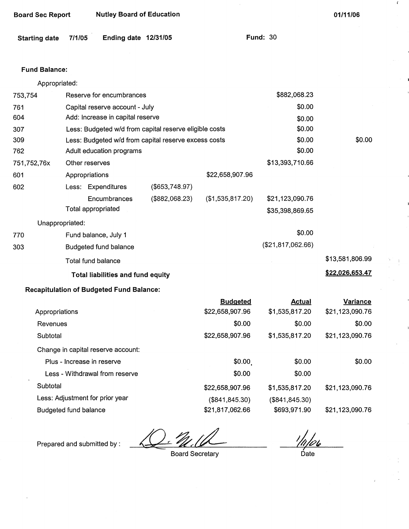| <b>Starting date</b> | 7/1/05             | Ending date 12/31/05                            |                                                        |                  | <b>Fund: 30</b>   |                 |  |
|----------------------|--------------------|-------------------------------------------------|--------------------------------------------------------|------------------|-------------------|-----------------|--|
| <b>Fund Balance:</b> |                    |                                                 |                                                        |                  |                   |                 |  |
| Appropriated:        |                    |                                                 |                                                        |                  |                   |                 |  |
| 753,754              |                    | Reserve for encumbrances                        |                                                        |                  | \$882,068.23      |                 |  |
| 761                  |                    | Capital reserve account - July                  |                                                        |                  | \$0.00            |                 |  |
| 604                  |                    | Add: Increase in capital reserve                |                                                        |                  | \$0.00            |                 |  |
| 307                  |                    |                                                 | Less: Budgeted w/d from capital reserve eligible costs |                  | \$0.00            |                 |  |
| 309                  |                    |                                                 | Less: Budgeted w/d from capital reserve excess costs   |                  | \$0.00            | \$0.00          |  |
| 762                  |                    | Adult education programs                        |                                                        |                  | \$0.00            |                 |  |
| 751,752,76x          | Other reserves     |                                                 |                                                        |                  | \$13,393,710.66   |                 |  |
| 601                  | Appropriations     |                                                 |                                                        | \$22,658,907.96  |                   |                 |  |
| 602                  |                    | Less: Expenditures                              | (\$653,748.97)                                         |                  |                   |                 |  |
|                      |                    | Encumbrances                                    | (\$882,068.23)                                         | (\$1,535,817.20) | \$21,123,090.76   |                 |  |
|                      | Total appropriated |                                                 |                                                        |                  | \$35,398,869.65   |                 |  |
| Unappropriated:      |                    |                                                 |                                                        |                  |                   |                 |  |
| 770                  |                    | Fund balance, July 1                            |                                                        |                  | \$0.00            |                 |  |
| 303                  |                    | Budgeted fund balance                           |                                                        |                  | (\$21,817,062.66) |                 |  |
|                      | Total fund balance |                                                 |                                                        |                  |                   | \$13,581,806.99 |  |
|                      |                    |                                                 |                                                        |                  |                   | \$22,026,653.47 |  |
|                      |                    | Total liabilities and fund equity               |                                                        |                  |                   |                 |  |
|                      |                    | <b>Recapitulation of Budgeted Fund Balance:</b> |                                                        |                  |                   |                 |  |
|                      |                    |                                                 |                                                        | <b>Budgeted</b>  | <b>Actual</b>     | Variance        |  |
| Appropriations       |                    |                                                 |                                                        | \$22,658,907.96  | \$1,535,817.20    | \$21,123,090.76 |  |
| Revenues             |                    |                                                 |                                                        | \$0.00           | \$0.00            | \$0.00          |  |
| Subtotal             |                    |                                                 |                                                        | \$22,658,907.96  | \$1,535,817.20    | \$21,123,090.76 |  |
|                      |                    | Change in capital reserve account:              |                                                        |                  |                   |                 |  |

**Board Sec Report Mutley Board of Education 120 Contract 101/11/06 Contract 201/11/06** 

# Plus - Increase in reserve **\$0.00** \$0.00 \$0.00 \$0.00 \$0.00 Less - Withdrawal from reserve  $$0.00$  \$0.00 \$0.00 Subtotal \$22,658,907.96 \$1,535,817.20 \$21,123,090.76 Less: Adjustment for prior year (\$841,845.30) (\$841,845.30) Budgeted fund balance **\$21,817,062.66** \$693,971.90 \$21,123,090.76

Prepared and submitted by:

 $\epsilon$ 

Board Secretary Date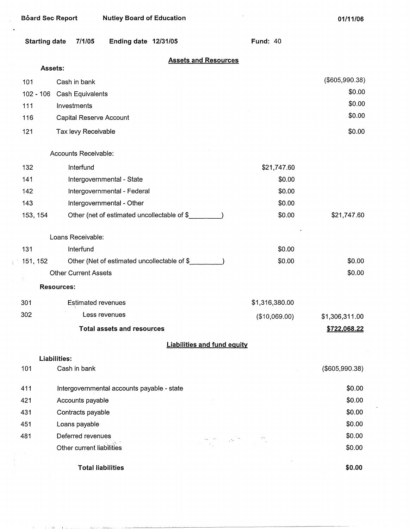| <b>Board Sec Report</b> |                             | <b>Nutley Board of Education</b>            |                                                                                                                                                                                                                                                                                                                                                                                                                                                                                                |                 | 01/11/06       |
|-------------------------|-----------------------------|---------------------------------------------|------------------------------------------------------------------------------------------------------------------------------------------------------------------------------------------------------------------------------------------------------------------------------------------------------------------------------------------------------------------------------------------------------------------------------------------------------------------------------------------------|-----------------|----------------|
| <b>Starting date</b>    | 7/1/05                      | Ending date 12/31/05                        |                                                                                                                                                                                                                                                                                                                                                                                                                                                                                                | <b>Fund: 40</b> |                |
| Assets:                 |                             |                                             | <b>Assets and Resources</b>                                                                                                                                                                                                                                                                                                                                                                                                                                                                    |                 |                |
| 101                     | Cash in bank                |                                             |                                                                                                                                                                                                                                                                                                                                                                                                                                                                                                |                 | (\$605,990.38) |
| $102 - 106$             | Cash Equivalents            |                                             |                                                                                                                                                                                                                                                                                                                                                                                                                                                                                                |                 | \$0.00         |
| 111                     | Investments                 |                                             |                                                                                                                                                                                                                                                                                                                                                                                                                                                                                                |                 | \$0.00         |
| 116                     | Capital Reserve Account     |                                             |                                                                                                                                                                                                                                                                                                                                                                                                                                                                                                |                 | \$0.00         |
| 121                     | Tax levy Receivable         |                                             |                                                                                                                                                                                                                                                                                                                                                                                                                                                                                                |                 | \$0.00         |
|                         | Accounts Receivable:        |                                             |                                                                                                                                                                                                                                                                                                                                                                                                                                                                                                |                 |                |
| 132                     | Interfund                   |                                             |                                                                                                                                                                                                                                                                                                                                                                                                                                                                                                | \$21,747.60     |                |
| 141                     |                             | Intergovernmental - State                   |                                                                                                                                                                                                                                                                                                                                                                                                                                                                                                | \$0.00          |                |
| 142                     |                             | Intergovernmental - Federal                 |                                                                                                                                                                                                                                                                                                                                                                                                                                                                                                | \$0.00          |                |
| 143                     |                             | Intergovernmental - Other                   |                                                                                                                                                                                                                                                                                                                                                                                                                                                                                                | \$0.00          |                |
| 153, 154                |                             | Other (net of estimated uncollectable of \$ |                                                                                                                                                                                                                                                                                                                                                                                                                                                                                                | \$0.00          | \$21,747.60    |
|                         |                             |                                             |                                                                                                                                                                                                                                                                                                                                                                                                                                                                                                |                 |                |
|                         | Loans Receivable:           |                                             |                                                                                                                                                                                                                                                                                                                                                                                                                                                                                                |                 |                |
| 131                     | Interfund                   |                                             |                                                                                                                                                                                                                                                                                                                                                                                                                                                                                                | \$0.00          |                |
| 151, 152                |                             | Other (Net of estimated uncollectable of \$ |                                                                                                                                                                                                                                                                                                                                                                                                                                                                                                | \$0.00          | \$0.00         |
|                         | <b>Other Current Assets</b> |                                             |                                                                                                                                                                                                                                                                                                                                                                                                                                                                                                |                 | \$0.00         |
|                         | <b>Resources:</b>           |                                             |                                                                                                                                                                                                                                                                                                                                                                                                                                                                                                |                 |                |
| 301                     | <b>Estimated revenues</b>   |                                             |                                                                                                                                                                                                                                                                                                                                                                                                                                                                                                | \$1,316,380.00  |                |
| 302                     |                             | Less revenues                               |                                                                                                                                                                                                                                                                                                                                                                                                                                                                                                | (\$10,069.00)   | \$1,306,311.00 |
|                         |                             | <b>Total assets and resources</b>           |                                                                                                                                                                                                                                                                                                                                                                                                                                                                                                |                 | \$722,068.22   |
|                         |                             |                                             | <b>Liabilities and fund equity</b>                                                                                                                                                                                                                                                                                                                                                                                                                                                             |                 |                |
|                         | Liabilities:                |                                             |                                                                                                                                                                                                                                                                                                                                                                                                                                                                                                |                 |                |
| 101                     | Cash in bank                |                                             |                                                                                                                                                                                                                                                                                                                                                                                                                                                                                                |                 | (\$605,990.38) |
| 411                     |                             | Intergovernmental accounts payable - state  |                                                                                                                                                                                                                                                                                                                                                                                                                                                                                                |                 | \$0.00         |
| 421                     | Accounts payable            |                                             |                                                                                                                                                                                                                                                                                                                                                                                                                                                                                                |                 | \$0.00         |
| 431                     | Contracts payable           |                                             |                                                                                                                                                                                                                                                                                                                                                                                                                                                                                                |                 | \$0.00         |
| 451                     | Loans payable               |                                             |                                                                                                                                                                                                                                                                                                                                                                                                                                                                                                |                 | \$0.00         |
| 481                     | Deferred revenues           |                                             | $\label{eq:2.1} \begin{array}{ccc} \mathcal{L}_{\mathcal{N}_{\mathcal{N}_{\mathcal{N}_{\mathcal{N}_{\mathcal{N}_{\mathcal{N}_{\mathcal{N}_{\mathcal{N}_{\mathcal{N}_{\mathcal{N}_{\mathcal{N}_{\mathcal{N}_{\mathcal{N}_{\mathcal{N}_{\mathcal{N}_{\mathcal{N}_{\mathcal{N}_{\mathcal{N}_{\mathcal{N}_{\mathcal{N}_{\mathcal{N}_{\mathcal{N}_{\mathcal{N}_{\mathcal{N}_{\mathcal{N}_{\mathcal{N}_{\mathcal{N}_{\mathcal{N}_{\mathcal{N}_{\mathcal{N}_{\mathcal{N}_{\mathcal{N}_{\mathcal{N}_{$ |                 | \$0.00         |
|                         | Other current liabilities   |                                             |                                                                                                                                                                                                                                                                                                                                                                                                                                                                                                |                 | \$0.00         |

**Total liabilities** 

 $\mathbb{R}^2$ j.

 $\mathcal{X}^{\mathcal{A}}$ 

**\$0.00**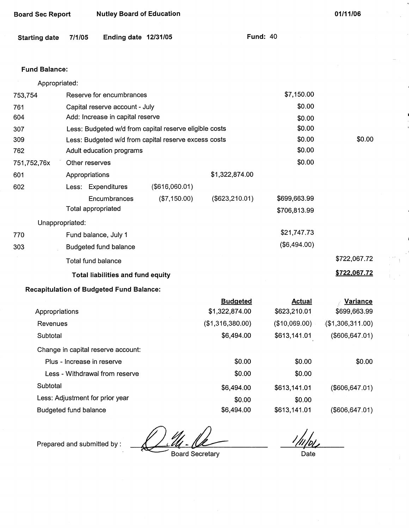| <b>Starting date</b> | 7/1/05                                          | Ending date 12/31/05 |                                                        |                                   | <b>Fund: 40</b> |                              |                                 |
|----------------------|-------------------------------------------------|----------------------|--------------------------------------------------------|-----------------------------------|-----------------|------------------------------|---------------------------------|
| <b>Fund Balance:</b> |                                                 |                      |                                                        |                                   |                 |                              |                                 |
| Appropriated:        |                                                 |                      |                                                        |                                   |                 |                              |                                 |
| 753,754              | Reserve for encumbrances                        |                      |                                                        |                                   |                 | \$7,150.00                   |                                 |
| 761                  | Capital reserve account - July                  |                      |                                                        |                                   |                 | \$0.00                       |                                 |
| 604                  | Add: Increase in capital reserve                |                      |                                                        |                                   |                 | \$0.00                       |                                 |
| 307                  |                                                 |                      | Less: Budgeted w/d from capital reserve eligible costs |                                   |                 | \$0.00                       |                                 |
| 309                  |                                                 |                      | Less: Budgeted w/d from capital reserve excess costs   |                                   |                 | \$0.00                       | \$0.00                          |
| 762                  | Adult education programs                        |                      |                                                        |                                   |                 | \$0.00                       |                                 |
| 751,752,76x          | Other reserves                                  |                      |                                                        |                                   |                 | \$0.00                       |                                 |
| 601                  | Appropriations                                  |                      |                                                        | \$1,322,874.00                    |                 |                              |                                 |
| 602                  | Less: Expenditures                              |                      | (\$616,060.01)                                         |                                   |                 |                              |                                 |
|                      | <b>Total appropriated</b>                       | Encumbrances         | (\$7,150.00)                                           | $($ \$623,210.01)                 |                 | \$699,663.99<br>\$706,813.99 |                                 |
| Unappropriated:      |                                                 |                      |                                                        |                                   |                 |                              |                                 |
| 770                  | Fund balance, July 1                            |                      |                                                        |                                   |                 | \$21,747.73                  |                                 |
| 303                  | Budgeted fund balance                           |                      |                                                        |                                   |                 | (\$6,494.00)                 |                                 |
|                      | Total fund balance                              |                      |                                                        |                                   |                 |                              | \$722,067.72                    |
|                      | Total liabilities and fund equity               |                      |                                                        |                                   |                 |                              | \$722,067.72                    |
|                      | <b>Recapitulation of Budgeted Fund Balance:</b> |                      |                                                        |                                   |                 |                              |                                 |
| Appropriations       |                                                 |                      |                                                        | <b>Budgeted</b><br>\$1,322,874.00 | \$623,210.01    | <b>Actual</b>                | <b>Variance</b><br>\$699,663.99 |
| Revenues             |                                                 |                      |                                                        | (\$1,316,380.00)                  | (\$10,069.00)   |                              | (\$1,306,311.00)                |
| Subtotal             |                                                 |                      |                                                        | \$6,494.00                        | \$613,141.01    |                              | (\$606, 647.01)                 |
|                      | Change in capital reserve account:              |                      |                                                        |                                   |                 |                              |                                 |
|                      | Plus - Increase in reserve                      |                      |                                                        | \$0.00                            |                 | \$0.00                       | \$0.00                          |

|                                    | ___________      |               | <u>.</u>            |
|------------------------------------|------------------|---------------|---------------------|
| Appropriations                     | \$1,322,874.00   | \$623,210.01  | \$699,663.99        |
| Revenues                           | (\$1,316,380.00) | (\$10,069.00) | $($ \$1,306,311.00) |
| Subtotal                           | \$6,494.00       | \$613,141.01  | (\$606, 647.01)     |
| Change in capital reserve account: |                  |               |                     |
| Plus - Increase in reserve         | \$0.00           | \$0.00        | \$0.00              |
| Less - Withdrawal from reserve     | \$0.00           | \$0.00        |                     |
| Subtotal                           | \$6,494.00       | \$613,141.01  | (\$606, 647.01)     |
| Less: Adjustment for prior year    | \$0.00           | \$0.00        |                     |
| Budgeted fund balance              | \$6,494.00       | \$613,141.01  | (\$606,647.01)      |

Budgeted fund balance<br>Prepared and submitted by :<br>Board Secretary

Board Sec Report **Nutley Board of Education** 

Board Secretary

1/11/06

**01/11/06** 

.<br>Date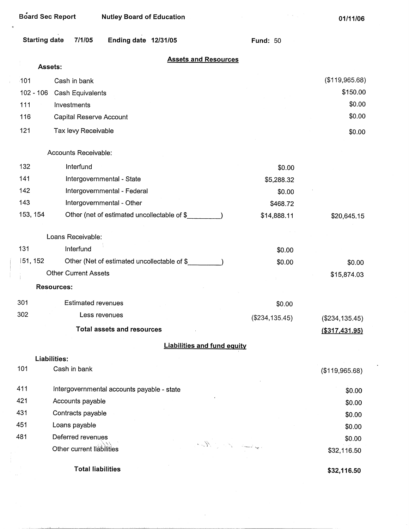| Board Sec Report     | <b>Nutley Board of Education</b>            |                                    | 01/11/06          |
|----------------------|---------------------------------------------|------------------------------------|-------------------|
| <b>Starting date</b> | 7/1/05<br>Ending date 12/31/05              | <b>Fund: 50</b>                    |                   |
|                      | Assets:                                     | <b>Assets and Resources</b>        |                   |
| $-101$               | Cash in bank                                |                                    | (\$119,965.68)    |
| $102 - 106$          | Cash Equivalents                            |                                    | \$150.00          |
| 111                  | Investments                                 |                                    | \$0.00            |
| 116                  | Capital Reserve Account                     |                                    | \$0.00            |
| 121                  | Tax levy Receivable                         |                                    | \$0.00            |
|                      | Accounts Receivable:                        |                                    |                   |
| 132                  | Interfund                                   | \$0.00                             |                   |
| 141                  | Intergovernmental - State                   |                                    |                   |
| 142                  | Intergovernmental - Federal                 |                                    |                   |
| 143                  | Intergovernmental - Other                   |                                    |                   |
| 153, 154             | Other (net of estimated uncollectable of \$ | \$14,888.11                        | \$20,645.15       |
|                      | Loans Receivable:                           |                                    |                   |
| 131                  | Interfund                                   | \$0.00                             |                   |
| 151, 152             | Other (Net of estimated uncollectable of \$ | \$0.00                             | \$0.00            |
|                      | <b>Other Current Assets</b>                 |                                    | \$15,874.03       |
|                      | <b>Resources:</b>                           |                                    |                   |
| 301                  | <b>Estimated revenues</b>                   | \$0.00                             |                   |
| 302                  | Less revenues                               | $(\$234, 135.45)$                  | (\$234, 135.45)   |
|                      | <b>Total assets and resources</b>           |                                    | $($ \$317,431.95) |
|                      |                                             | <b>Liabilities and fund equity</b> |                   |
| 101                  | Liabilities:<br>Cash in bank                |                                    |                   |
|                      |                                             |                                    | (\$119,965.68)    |
| 411                  | Intergovernmental accounts payable - state  |                                    | \$0.00            |
| 421                  | Accounts payable                            | \$0.00                             |                   |
| 431                  | Contracts payable                           | \$0.00                             |                   |
| 451                  | Loans payable                               |                                    | \$0.00            |
| 481                  | Deferred revenues                           | بهابسته المحارب المحامل            | \$0.00            |
|                      | Other current liabilities                   |                                    | \$32,116.50       |
|                      | <b>Total liabilities</b>                    |                                    | \$32,116.50       |

 $\sim 10^{-10}$ 

 $\mathcal{L}(\mathcal{A})$  and  $\mathcal{L}(\mathcal{A})$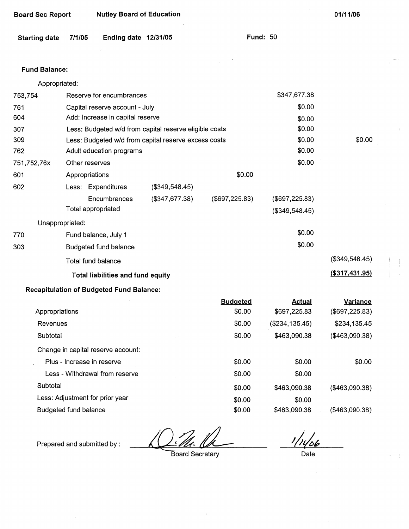| <b>Starting date</b> | 7/1/05                     | Ending date 12/31/05                            |                                                        |                 | <b>Fund: 50</b> |                  |
|----------------------|----------------------------|-------------------------------------------------|--------------------------------------------------------|-----------------|-----------------|------------------|
|                      |                            |                                                 |                                                        |                 |                 |                  |
| <b>Fund Balance:</b> |                            |                                                 |                                                        |                 |                 |                  |
| Appropriated:        |                            |                                                 |                                                        |                 |                 |                  |
| 753,754              |                            | Reserve for encumbrances                        |                                                        |                 | \$347,677.38    |                  |
| 761                  |                            | Capital reserve account - July                  |                                                        |                 | \$0.00          |                  |
| 604                  |                            | Add: Increase in capital reserve                |                                                        |                 | \$0.00          |                  |
| 307                  |                            |                                                 | Less: Budgeted w/d from capital reserve eligible costs |                 | \$0.00          |                  |
| 309                  |                            |                                                 | Less: Budgeted w/d from capital reserve excess costs   |                 | \$0.00          | \$0.00           |
| 762                  |                            | Adult education programs                        |                                                        |                 | \$0.00          |                  |
| 751,752,76x          | Other reserves             |                                                 |                                                        |                 | \$0.00          |                  |
| 601                  | Appropriations             |                                                 |                                                        | \$0.00          |                 |                  |
| 602                  |                            | Less: Expenditures                              | (\$349,548.45)                                         |                 |                 |                  |
|                      |                            | Encumbrances                                    | (\$347,677.38)                                         | (\$697,225.83)  | (\$697, 225.83) |                  |
|                      | Total appropriated         |                                                 |                                                        |                 | (\$349,548.45)  |                  |
|                      | Unappropriated:            |                                                 |                                                        |                 |                 |                  |
| 770                  |                            | Fund balance, July 1                            |                                                        |                 | \$0.00          |                  |
| 303                  |                            | Budgeted fund balance                           |                                                        |                 | \$0.00          |                  |
|                      | Total fund balance         |                                                 |                                                        |                 |                 | (\$349,548.45)   |
|                      |                            | <b>Total liabilities and fund equity</b>        |                                                        |                 |                 | ( \$317, 431.95) |
|                      |                            | <b>Recapitulation of Budgeted Fund Balance:</b> |                                                        |                 |                 |                  |
|                      |                            |                                                 |                                                        | <b>Budgeted</b> | <b>Actual</b>   | Variance         |
| Appropriations       |                            |                                                 |                                                        | \$0.00          | \$697,225.83    | (\$697,225.83)   |
| Revenues             |                            |                                                 |                                                        | \$0.00          | (\$234, 135.45) | \$234,135.45     |
| Subtotal             |                            |                                                 |                                                        | \$0.00          | \$463,090.38    | (\$463,090.38)   |
|                      |                            | Change in capital reserve account:              |                                                        |                 |                 |                  |
|                      | Plus - Increase in reserve |                                                 |                                                        | \$0.00          | \$0.00          | \$0.00           |
|                      |                            | Less - Withdrawal from reserve                  |                                                        | \$0.00          | \$0.00          |                  |
| Subtotal             |                            |                                                 |                                                        | \$0.00          | \$463,090.38    | ( \$463,090.38)  |
|                      |                            | Less: Adjustment for prior year                 |                                                        | \$0.00          | \$0.00          |                  |

Budgeted fund balance

Prepared and submitted by:

Board Secretary

<u>106</u>

(\$463,090.38}

Date

\$463,090.38

 $\ddot{\phantom{a}}$ 

\$0.00

**01/11/06** 

**Board Sec Report Nutley Board of Education**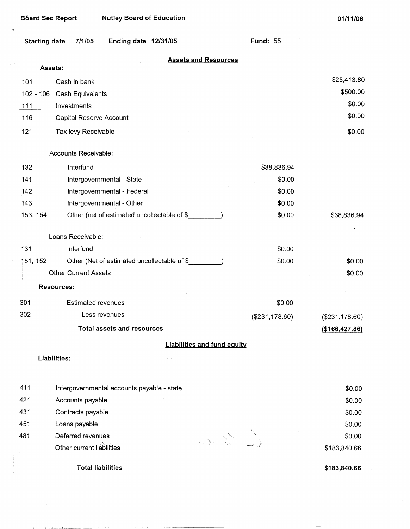$\overline{a}$ 

 $\bar{\beta}$ 

**01/11/06** 

|          | <b>Starting date</b><br>7/1/05<br>Ending date 12/31/05 | <b>Fund: 55</b>                    |                |  |  |
|----------|--------------------------------------------------------|------------------------------------|----------------|--|--|
|          | Assets:                                                | <b>Assets and Resources</b>        |                |  |  |
| 101      | Cash in bank                                           |                                    | \$25,413.80    |  |  |
|          | 102 - 106 Cash Equivalents                             |                                    |                |  |  |
|          | $111$<br>Investments                                   |                                    |                |  |  |
| 116      | Capital Reserve Account                                |                                    | \$0.00         |  |  |
| 121      | Tax levy Receivable                                    |                                    | \$0.00         |  |  |
|          | Accounts Receivable:                                   |                                    |                |  |  |
| 132      | Interfund                                              | \$38,836.94                        |                |  |  |
| 141      | Intergovernmental - State                              | \$0.00                             |                |  |  |
| 142      |                                                        | \$0.00                             |                |  |  |
|          | Intergovernmental - Federal                            |                                    |                |  |  |
| 143      | Intergovernmental - Other                              | \$0.00                             |                |  |  |
| 153, 154 | Other (net of estimated uncollectable of \$            | \$0.00                             | \$38,836.94    |  |  |
|          | Loans Receivable:                                      |                                    |                |  |  |
| 131      | Interfund                                              | \$0.00                             |                |  |  |
| 151, 152 | Other (Net of estimated uncollectable of \$            | \$0.00                             | \$0.00         |  |  |
|          | <b>Other Current Assets</b>                            |                                    | \$0.00         |  |  |
|          | <b>Resources:</b>                                      |                                    |                |  |  |
| 301      | <b>Estimated revenues</b>                              | \$0.00                             |                |  |  |
| 302      | Less revenues                                          | (\$231,178.60)                     | (\$231,178.60) |  |  |
|          | Total assets and resources                             |                                    |                |  |  |
|          |                                                        | <b>Liabilities and fund equity</b> |                |  |  |
|          | Liabilities:                                           |                                    |                |  |  |
|          |                                                        |                                    |                |  |  |
| 411      | Intergovernmental accounts payable - state             |                                    | \$0.00         |  |  |
| 421      | Accounts payable                                       |                                    | \$0.00         |  |  |
| 431      | Contracts payable                                      |                                    | \$0.00         |  |  |
| 451      | Loans payable                                          |                                    | \$0.00         |  |  |
| 481      | Deferred revenues                                      |                                    |                |  |  |
|          | Other current liabilities                              |                                    | \$183,840.66   |  |  |
|          | <b>Total liabilities</b>                               |                                    | \$183,840.66   |  |  |